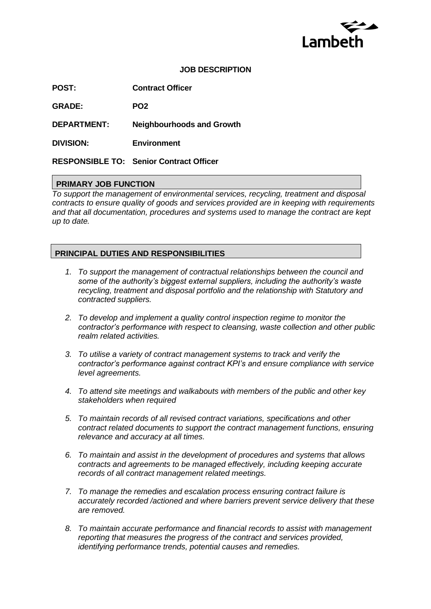

#### **JOB DESCRIPTION**

**POST: Contract Officer** 

**GRADE: PO2**

**DEPARTMENT: Neighbourhoods and Growth**

**DIVISION: Environment**

**RESPONSIBLE TO: Senior Contract Officer**

#### **PRIMARY JOB FUNCTION**

*To support the management of environmental services, recycling, treatment and disposal contracts to ensure quality of goods and services provided are in keeping with requirements and that all documentation, procedures and systems used to manage the contract are kept up to date.*

### **PRINCIPAL DUTIES AND RESPONSIBILITIES**

- *1. To support the management of contractual relationships between the council and some of the authority's biggest external suppliers, including the authority's waste recycling, treatment and disposal portfolio and the relationship with Statutory and contracted suppliers.*
- *2. To develop and implement a quality control inspection regime to monitor the contractor's performance with respect to cleansing, waste collection and other public realm related activities.*
- *3. To utilise a variety of contract management systems to track and verify the contractor's performance against contract KPI's and ensure compliance with service level agreements.*
- *4. To attend site meetings and walkabouts with members of the public and other key stakeholders when required*
- *5. To maintain records of all revised contract variations, specifications and other contract related documents to support the contract management functions, ensuring relevance and accuracy at all times.*
- *6. To maintain and assist in the development of procedures and systems that allows contracts and agreements to be managed effectively, including keeping accurate records of all contract management related meetings.*
- *7. To manage the remedies and escalation process ensuring contract failure is accurately recorded /actioned and where barriers prevent service delivery that these are removed.*
- *8. To maintain accurate performance and financial records to assist with management reporting that measures the progress of the contract and services provided, identifying performance trends, potential causes and remedies.*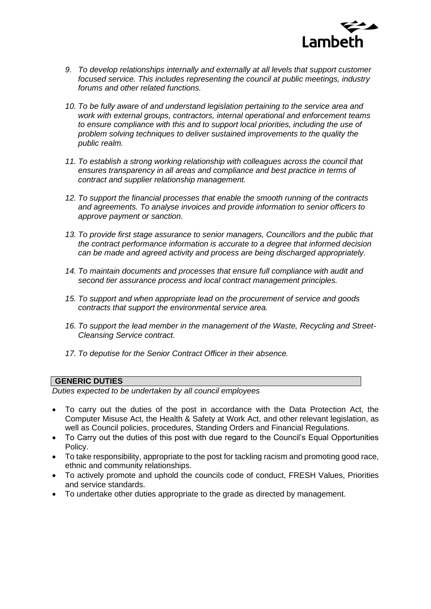

- *9. To develop relationships internally and externally at all levels that support customer focused service. This includes representing the council at public meetings, industry forums and other related functions.*
- *10. To be fully aware of and understand legislation pertaining to the service area and work with external groups, contractors, internal operational and enforcement teams to ensure compliance with this and to support local priorities, including the use of problem solving techniques to deliver sustained improvements to the quality the public realm.*
- *11. To establish a strong working relationship with colleagues across the council that*  ensures transparency in all areas and compliance and best practice in terms of *contract and supplier relationship management.*
- *12. To support the financial processes that enable the smooth running of the contracts and agreements. To analyse invoices and provide information to senior officers to approve payment or sanction.*
- *13. To provide first stage assurance to senior managers, Councillors and the public that the contract performance information is accurate to a degree that informed decision can be made and agreed activity and process are being discharged appropriately.*
- *14. To maintain documents and processes that ensure full compliance with audit and second tier assurance process and local contract management principles.*
- *15. To support and when appropriate lead on the procurement of service and goods contracts that support the environmental service area.*
- *16. To support the lead member in the management of the Waste, Recycling and Street-Cleansing Service contract.*
- *17. To deputise for the Senior Contract Officer in their absence.*

#### **GENERIC DUTIES**

*Duties expected to be undertaken by all council employees* 

- To carry out the duties of the post in accordance with the Data Protection Act, the Computer Misuse Act, the Health & Safety at Work Act, and other relevant legislation, as well as Council policies, procedures, Standing Orders and Financial Regulations.
- To Carry out the duties of this post with due regard to the Council's Equal Opportunities Policy.
- To take responsibility, appropriate to the post for tackling racism and promoting good race, ethnic and community relationships.
- To actively promote and uphold the councils code of conduct, FRESH Values, Priorities and service standards.
- To undertake other duties appropriate to the grade as directed by management.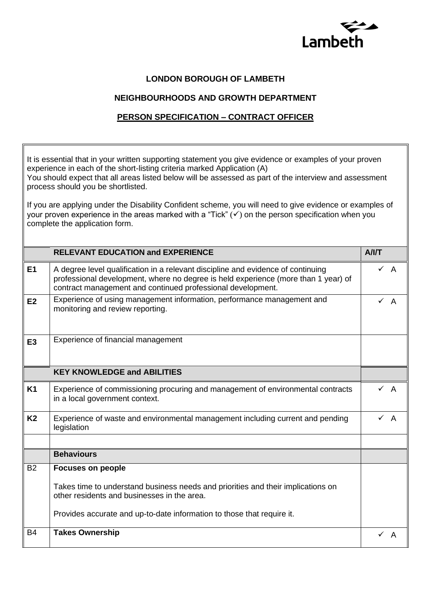

1

## **LONDON BOROUGH OF LAMBETH**

## **NEIGHBOURHOODS AND GROWTH DEPARTMENT**

# **PERSON SPECIFICATION – CONTRACT OFFICER**

 $\mathsf I$ 

| It is essential that in your written supporting statement you give evidence or examples of your proven<br>experience in each of the short-listing criteria marked Application (A)<br>You should expect that all areas listed below will be assessed as part of the interview and assessment<br>process should you be shortlisted. |                                                                                                                                                                                                                                       |                |                |  |
|-----------------------------------------------------------------------------------------------------------------------------------------------------------------------------------------------------------------------------------------------------------------------------------------------------------------------------------|---------------------------------------------------------------------------------------------------------------------------------------------------------------------------------------------------------------------------------------|----------------|----------------|--|
| If you are applying under the Disability Confident scheme, you will need to give evidence or examples of<br>your proven experience in the areas marked with a "Tick" $(\checkmark)$ on the person specification when you<br>complete the application form.                                                                        |                                                                                                                                                                                                                                       |                |                |  |
|                                                                                                                                                                                                                                                                                                                                   | <b>RELEVANT EDUCATION and EXPERIENCE</b>                                                                                                                                                                                              | A/IT           |                |  |
| E1                                                                                                                                                                                                                                                                                                                                | A degree level qualification in a relevant discipline and evidence of continuing<br>professional development, where no degree is held experience (more than 1 year) of<br>contract management and continued professional development. | $\checkmark$ A |                |  |
| E2                                                                                                                                                                                                                                                                                                                                | Experience of using management information, performance management and<br>monitoring and review reporting.                                                                                                                            | $\checkmark$ A |                |  |
| E <sub>3</sub>                                                                                                                                                                                                                                                                                                                    | Experience of financial management                                                                                                                                                                                                    |                |                |  |
|                                                                                                                                                                                                                                                                                                                                   | <b>KEY KNOWLEDGE and ABILITIES</b>                                                                                                                                                                                                    |                |                |  |
| <b>K1</b>                                                                                                                                                                                                                                                                                                                         | Experience of commissioning procuring and management of environmental contracts<br>in a local government context.                                                                                                                     |                | $\checkmark$ A |  |
| K <sub>2</sub>                                                                                                                                                                                                                                                                                                                    | Experience of waste and environmental management including current and pending<br>legislation                                                                                                                                         |                | $\checkmark$ A |  |
|                                                                                                                                                                                                                                                                                                                                   | <b>Behaviours</b>                                                                                                                                                                                                                     |                |                |  |
| <b>B2</b>                                                                                                                                                                                                                                                                                                                         | <b>Focuses on people</b>                                                                                                                                                                                                              |                |                |  |
|                                                                                                                                                                                                                                                                                                                                   | Takes time to understand business needs and priorities and their implications on<br>other residents and businesses in the area.                                                                                                       |                |                |  |
|                                                                                                                                                                                                                                                                                                                                   | Provides accurate and up-to-date information to those that require it.                                                                                                                                                                |                |                |  |
| <b>B4</b>                                                                                                                                                                                                                                                                                                                         | <b>Takes Ownership</b>                                                                                                                                                                                                                |                | $\checkmark$ A |  |